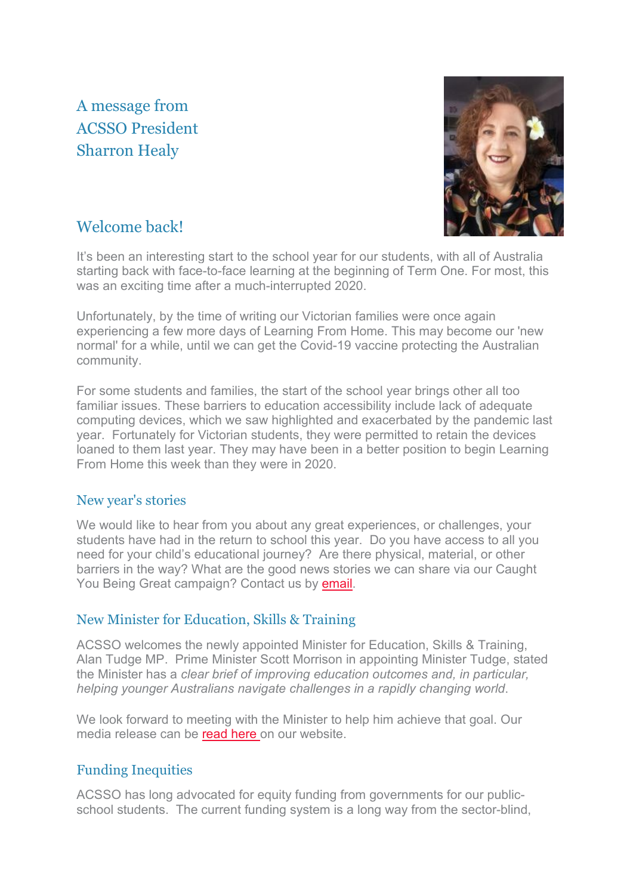# A message from ACSSO President Sharron Healy



## Welcome back!

It's been an interesting start to the school year for our students, with all of Australia starting back with face-to-face learning at the beginning of Term One. For most, this was an exciting time after a much-interrupted 2020.

Unfortunately, by the time of writing our Victorian families were once again experiencing a few more days of Learning From Home. This may become our 'new normal' for a while, until we can get the Covid-19 vaccine protecting the Australian community.

For some students and families, the start of the school year brings other all too familiar issues. These barriers to education accessibility include lack of adequate computing devices, which we saw highlighted and exacerbated by the pandemic last year. Fortunately for Victorian students, they were permitted to retain the devices loaned to them last year. They may have been in a better position to begin Learning From Home this week than they were in 2020.

### New year's stories

We would like to hear from you about any great experiences, or challenges, your students have had in the return to school this year. Do you have access to all you need for your child's educational journey? Are there physical, material, or other barriers in the way? What are the good news stories we can share via our Caught You Being Great campaign? Contact us by [email.](mailto:contact@acsso.org.au)

### New Minister for Education, Skills & Training

ACSSO welcomes the newly appointed Minister for Education, Skills & Training, Alan Tudge MP. Prime Minister Scott Morrison in appointing Minister Tudge, stated the Minister has a *clear brief of improving education outcomes and, in particular, helping younger Australians navigate challenges in a rapidly changing world*.

We look forward to meeting with the Minister to help him achieve that goal. Our media release can be [read here](https://acsso.createsend1.com/t/i-l-mdlhykd-l-d/) on our website.

### Funding Inequities

ACSSO has long advocated for equity funding from governments for our publicschool students. The current funding system is a long way from the sector-blind,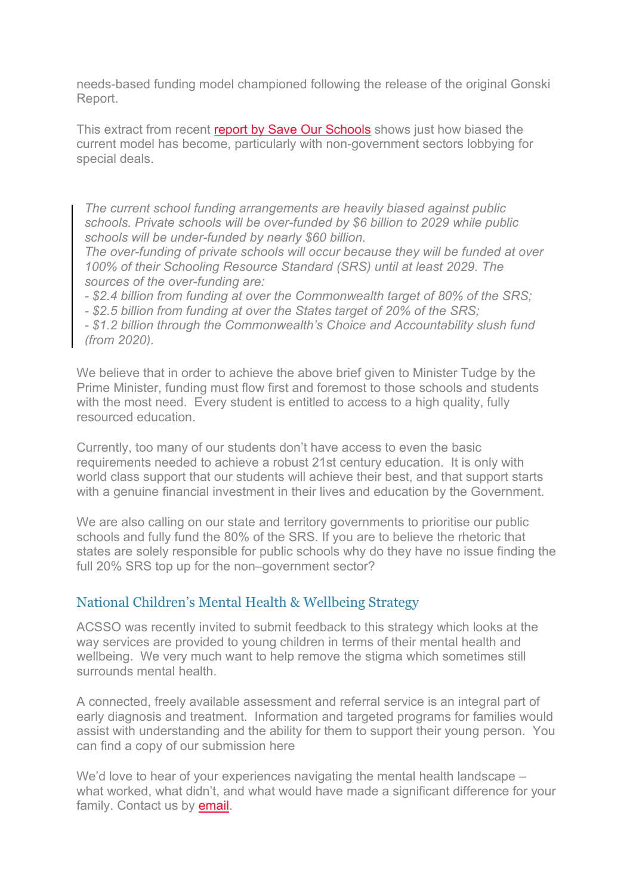needs-based funding model championed following the release of the original Gonski Report.

This extract from recent report by [Save Our Schools](https://acsso.createsend1.com/t/i-l-mdlhykd-l-h/) shows just how biased the current model has become, particularly with non-government sectors lobbying for special deals.

*The current school funding arrangements are heavily biased against public schools. Private schools will be over-funded by \$6 billion to 2029 while public schools will be under-funded by nearly \$60 billion.*

*The over-funding of private schools will occur because they will be funded at over 100% of their Schooling Resource Standard (SRS) until at least 2029. The sources of the over-funding are:*

*- \$2.4 billion from funding at over the Commonwealth target of 80% of the SRS;*

*- \$2.5 billion from funding at over the States target of 20% of the SRS;*

*- \$1.2 billion through the Commonwealth's Choice and Accountability slush fund (from 2020).*

We believe that in order to achieve the above brief given to Minister Tudge by the Prime Minister, funding must flow first and foremost to those schools and students with the most need. Every student is entitled to access to a high quality, fully resourced education.

Currently, too many of our students don't have access to even the basic requirements needed to achieve a robust 21st century education. It is only with world class support that our students will achieve their best, and that support starts with a genuine financial investment in their lives and education by the Government.

We are also calling on our state and territory governments to prioritise our public schools and fully fund the 80% of the SRS. If you are to believe the rhetoric that states are solely responsible for public schools why do they have no issue finding the full 20% SRS top up for the non–government sector?

#### National Children's Mental Health & Wellbeing Strategy

ACSSO was recently invited to submit feedback to this strategy which looks at the way services are provided to young children in terms of their mental health and wellbeing. We very much want to help remove the stigma which sometimes still surrounds mental health.

A connected, freely available assessment and referral service is an integral part of early diagnosis and treatment. Information and targeted programs for families would assist with understanding and the ability for them to support their young person. You can find a copy of our submission here

We'd love to hear of your experiences navigating the mental health landscape – what worked, what didn't, and what would have made a significant difference for your family. Contact us by **email**.